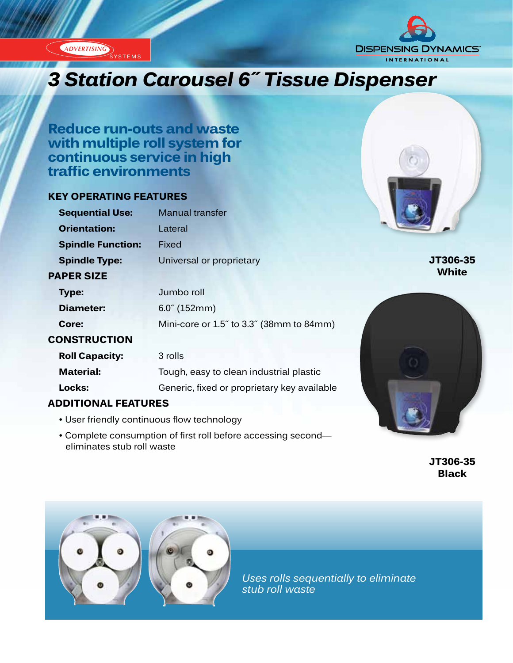ADVERTISING YSTEMS



# *3 Station Carousel 6″ Tissue Dispenser*

**Reduce run-outs and waste with multiple roll system for continuous service in high traffic environments**

#### **KEY OPERATING FEATURES**

**CONSTRUCTION**

**Roll Capacity:** 3 rolls

eliminates stub roll waste

**ADDITIONAL FEATURES**

| <b>Sequential Use:</b>   | <b>Manual transfer</b>   |
|--------------------------|--------------------------|
| <b>Orientation:</b>      | Lateral                  |
| <b>Spindle Function:</b> | Fixed                    |
| <b>Spindle Type:</b>     | Universal or proprietary |
| <b>PAPER SIZE</b>        |                          |
| Type:                    | Jumbo roll               |
| Diameter:                | $6.0^{\circ}$ (152mm)    |

**Core:** Mini-core or 1.5˝ to 3.3˝ (38mm to 84mm)

**Material:** Tough, easy to clean industrial plastic

**Locks:** Generic, fixed or proprietary key available

• Complete consumption of first roll before accessing second—



**JT306-35 White**



**JT306-35 Black**



• User friendly continuous flow technology

*Uses rolls sequentially to eliminate stub roll waste*